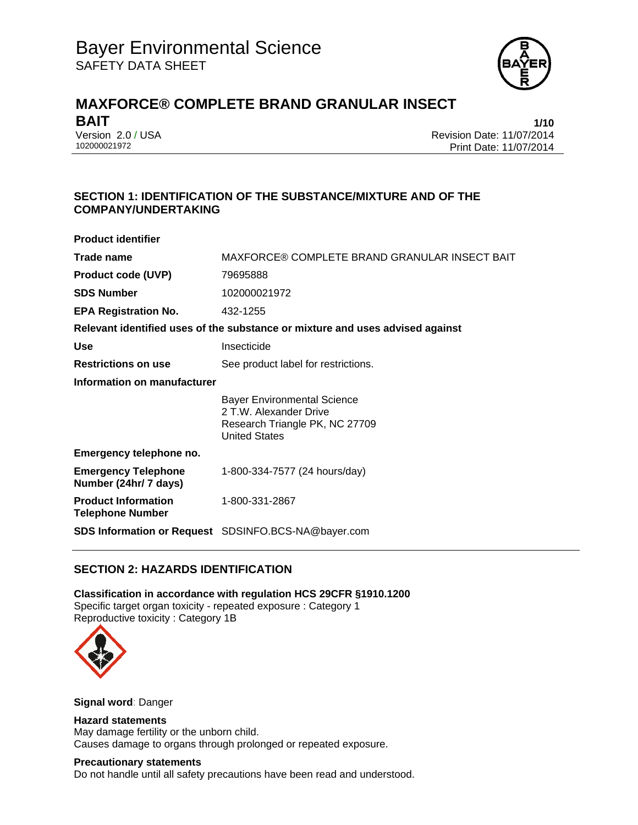

# **MAXFORCE® COMPLETE BRAND GRANULAR INSECT BAIT** 1/10

Version 2.0 / USA Revision Date: 11/07/2014<br>102000021972 Print Date: 11/07/2014 Print Date: 11/07/2014

# **SECTION 1: IDENTIFICATION OF THE SUBSTANCE/MIXTURE AND OF THE COMPANY/UNDERTAKING**

| <b>Product identifier</b>                             |                                                                                                                 |  |
|-------------------------------------------------------|-----------------------------------------------------------------------------------------------------------------|--|
| Trade name                                            | MAXFORCE® COMPLETE BRAND GRANULAR INSECT BAIT                                                                   |  |
| <b>Product code (UVP)</b>                             | 79695888                                                                                                        |  |
| <b>SDS Number</b>                                     | 102000021972                                                                                                    |  |
| <b>EPA Registration No.</b>                           | 432-1255                                                                                                        |  |
|                                                       | Relevant identified uses of the substance or mixture and uses advised against                                   |  |
| <b>Use</b>                                            | Insecticide                                                                                                     |  |
| <b>Restrictions on use</b>                            | See product label for restrictions.                                                                             |  |
| Information on manufacturer                           |                                                                                                                 |  |
|                                                       | Bayer Environmental Science<br>2 T.W. Alexander Drive<br>Research Triangle PK, NC 27709<br><b>United States</b> |  |
| Emergency telephone no.                               |                                                                                                                 |  |
| <b>Emergency Telephone</b><br>Number (24hr/ 7 days)   | 1-800-334-7577 (24 hours/day)                                                                                   |  |
| <b>Product Information</b><br><b>Telephone Number</b> | 1-800-331-2867                                                                                                  |  |
|                                                       | <b>SDS Information or Request</b> SDSINFO.BCS-NA@bayer.com                                                      |  |

## **SECTION 2: HAZARDS IDENTIFICATION**

**Classification in accordance with regulation HCS 29CFR §1910.1200**  Specific target organ toxicity - repeated exposure : Category 1 Reproductive toxicity : Category 1B



**Signal word**: Danger

#### **Hazard statements**  May damage fertility or the unborn child.

Causes damage to organs through prolonged or repeated exposure.

## **Precautionary statements**

Do not handle until all safety precautions have been read and understood.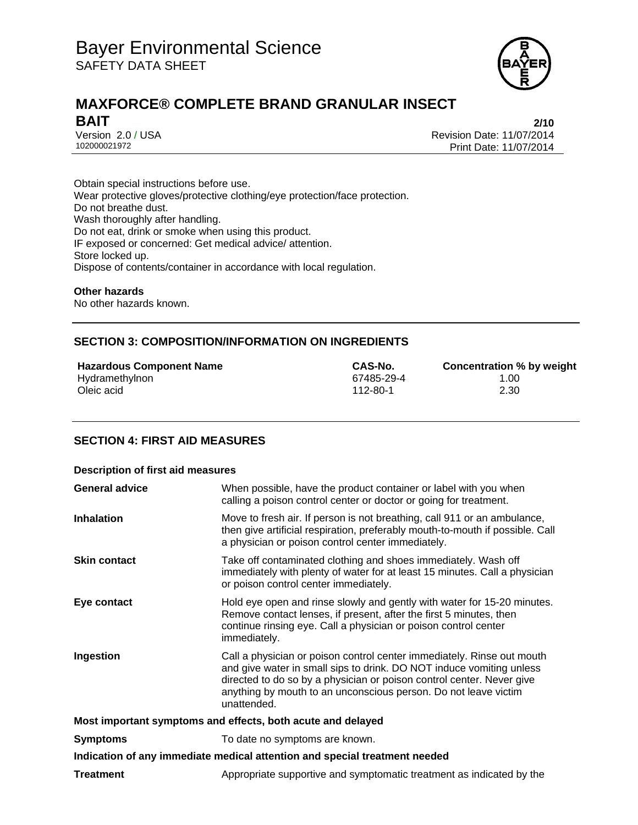

# **MAXFORCE® COMPLETE BRAND GRANULAR INSECT BAIT** 2/10

Version 2.0 / USA Revision Date: 11/07/2014<br>102000021972 Print Date: 11/07/2014 Print Date: 11/07/2014

Obtain special instructions before use. Wear protective gloves/protective clothing/eye protection/face protection. Do not breathe dust. Wash thoroughly after handling. Do not eat, drink or smoke when using this product. IF exposed or concerned: Get medical advice/ attention. Store locked up. Dispose of contents/container in accordance with local regulation.

#### **Other hazards**

No other hazards known.

## **SECTION 3: COMPOSITION/INFORMATION ON INGREDIENTS**

**Hazardous Component Name**<br> **Hydramethylnon**<br> **Hydramethylnon**<br> **CAS-No.**<br> **CAS-No.**<br> **CAS-No.**<br> **CONCENSITY CONCENTING MODE CONFIDENTIAL**<br> **CAS-No.**<br> **CONCENTIAL**<br> **CONCENTIAL**<br> **CONCENTIAL** Hydramethylnon 67485-29-4<br>
Oleic acid 112-80-1 Oleic acid 112-80-1 2.30

#### **SECTION 4: FIRST AID MEASURES**

| <b>Description of first aid measures</b>                                   |                                                                                                                                                                                                                                                                                                           |  |
|----------------------------------------------------------------------------|-----------------------------------------------------------------------------------------------------------------------------------------------------------------------------------------------------------------------------------------------------------------------------------------------------------|--|
| <b>General advice</b>                                                      | When possible, have the product container or label with you when<br>calling a poison control center or doctor or going for treatment.                                                                                                                                                                     |  |
| <b>Inhalation</b>                                                          | Move to fresh air. If person is not breathing, call 911 or an ambulance,<br>then give artificial respiration, preferably mouth-to-mouth if possible. Call<br>a physician or poison control center immediately.                                                                                            |  |
| <b>Skin contact</b>                                                        | Take off contaminated clothing and shoes immediately. Wash off<br>immediately with plenty of water for at least 15 minutes. Call a physician<br>or poison control center immediately.                                                                                                                     |  |
| Eye contact                                                                | Hold eye open and rinse slowly and gently with water for 15-20 minutes.<br>Remove contact lenses, if present, after the first 5 minutes, then<br>continue rinsing eye. Call a physician or poison control center<br>immediately.                                                                          |  |
| Ingestion                                                                  | Call a physician or poison control center immediately. Rinse out mouth<br>and give water in small sips to drink. DO NOT induce vomiting unless<br>directed to do so by a physician or poison control center. Never give<br>anything by mouth to an unconscious person. Do not leave victim<br>unattended. |  |
| Most important symptoms and effects, both acute and delayed                |                                                                                                                                                                                                                                                                                                           |  |
| <b>Symptoms</b>                                                            | To date no symptoms are known.                                                                                                                                                                                                                                                                            |  |
| Indication of any immediate medical attention and special treatment needed |                                                                                                                                                                                                                                                                                                           |  |
| <b>Treatment</b>                                                           | Appropriate supportive and symptomatic treatment as indicated by the                                                                                                                                                                                                                                      |  |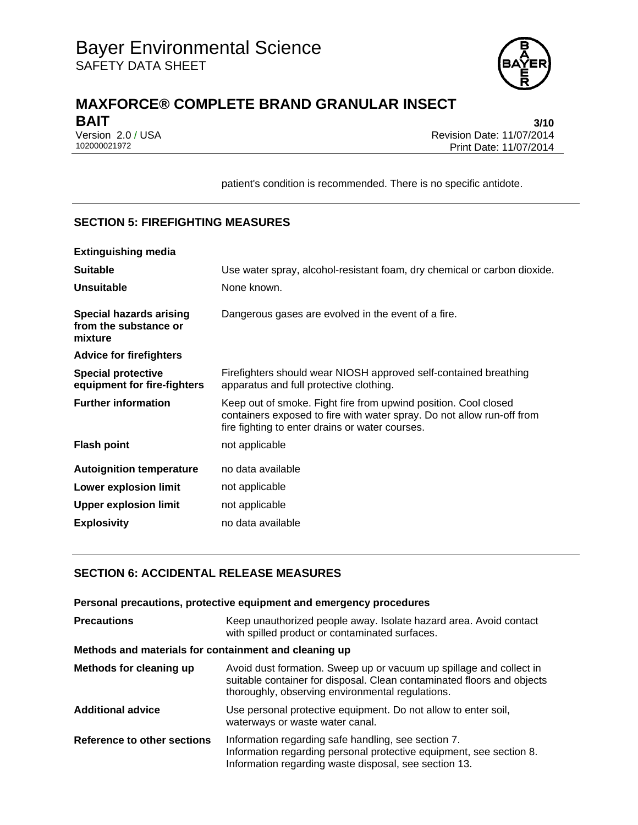

# **MAXFORCE® COMPLETE BRAND GRANULAR INSECT BAIT** 3/10

Version 2.0 / USA Revision Date: 11/07/2014<br>102000021972 Print Date: 11/07/2014 Print Date: 11/07/2014

patient's condition is recommended. There is no specific antidote.

# **SECTION 5: FIREFIGHTING MEASURES**

| <b>Extinguishing media</b>                                         |                                                                                                                                                                                              |
|--------------------------------------------------------------------|----------------------------------------------------------------------------------------------------------------------------------------------------------------------------------------------|
| <b>Suitable</b>                                                    | Use water spray, alcohol-resistant foam, dry chemical or carbon dioxide.                                                                                                                     |
| <b>Unsuitable</b>                                                  | None known.                                                                                                                                                                                  |
| <b>Special hazards arising</b><br>from the substance or<br>mixture | Dangerous gases are evolved in the event of a fire.                                                                                                                                          |
| <b>Advice for firefighters</b>                                     |                                                                                                                                                                                              |
| <b>Special protective</b><br>equipment for fire-fighters           | Firefighters should wear NIOSH approved self-contained breathing<br>apparatus and full protective clothing.                                                                                  |
| <b>Further information</b>                                         | Keep out of smoke. Fight fire from upwind position. Cool closed<br>containers exposed to fire with water spray. Do not allow run-off from<br>fire fighting to enter drains or water courses. |
| <b>Flash point</b>                                                 | not applicable                                                                                                                                                                               |
| <b>Autoignition temperature</b>                                    | no data available                                                                                                                                                                            |
| Lower explosion limit                                              | not applicable                                                                                                                                                                               |
| <b>Upper explosion limit</b>                                       | not applicable                                                                                                                                                                               |
| <b>Explosivity</b>                                                 | no data available                                                                                                                                                                            |
|                                                                    |                                                                                                                                                                                              |

# **SECTION 6: ACCIDENTAL RELEASE MEASURES**

|                                                       | Personal precautions, protective equipment and emergency procedures                                                                                                                               |  |
|-------------------------------------------------------|---------------------------------------------------------------------------------------------------------------------------------------------------------------------------------------------------|--|
| <b>Precautions</b>                                    | Keep unauthorized people away. Isolate hazard area. Avoid contact<br>with spilled product or contaminated surfaces.                                                                               |  |
| Methods and materials for containment and cleaning up |                                                                                                                                                                                                   |  |
| Methods for cleaning up                               | Avoid dust formation. Sweep up or vacuum up spillage and collect in<br>suitable container for disposal. Clean contaminated floors and objects<br>thoroughly, observing environmental regulations. |  |
| <b>Additional advice</b>                              | Use personal protective equipment. Do not allow to enter soil,<br>waterways or waste water canal.                                                                                                 |  |
| Reference to other sections                           | Information regarding safe handling, see section 7.<br>Information regarding personal protective equipment, see section 8.<br>Information regarding waste disposal, see section 13.               |  |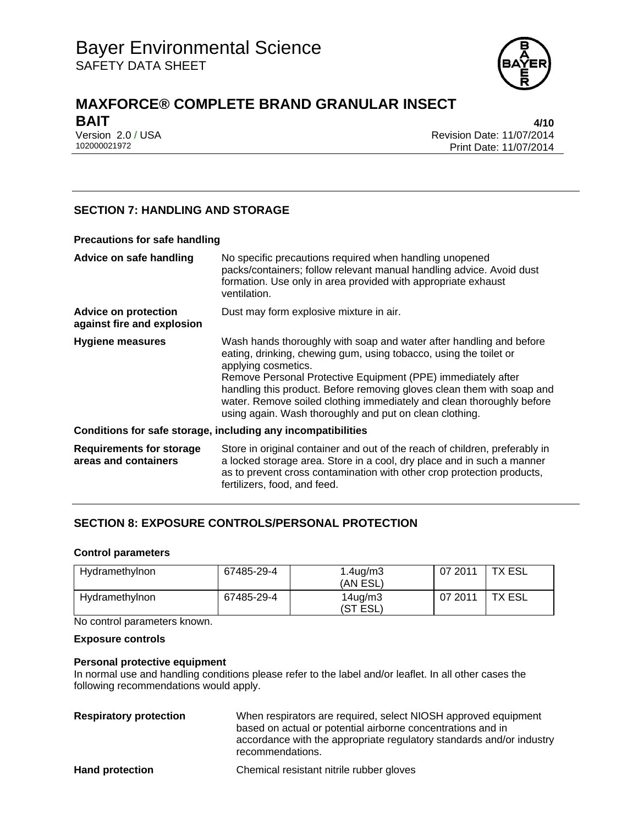

# **MAXFORCE® COMPLETE BRAND GRANULAR INSECT BAIT** 4/10

Version 2.0 / USA Revision Date: 11/07/2014<br>102000021972 Print Date: 11/07/2014 Print Date: 11/07/2014

## **SECTION 7: HANDLING AND STORAGE**

#### **Precautions for safe handling**

| Advice on safe handling                                   | No specific precautions required when handling unopened<br>packs/containers; follow relevant manual handling advice. Avoid dust<br>formation. Use only in area provided with appropriate exhaust<br>ventilation.                                                                                                                                                                                                                              |
|-----------------------------------------------------------|-----------------------------------------------------------------------------------------------------------------------------------------------------------------------------------------------------------------------------------------------------------------------------------------------------------------------------------------------------------------------------------------------------------------------------------------------|
| <b>Advice on protection</b><br>against fire and explosion | Dust may form explosive mixture in air.                                                                                                                                                                                                                                                                                                                                                                                                       |
| <b>Hygiene measures</b>                                   | Wash hands thoroughly with soap and water after handling and before<br>eating, drinking, chewing gum, using tobacco, using the toilet or<br>applying cosmetics.<br>Remove Personal Protective Equipment (PPE) immediately after<br>handling this product. Before removing gloves clean them with soap and<br>water. Remove soiled clothing immediately and clean thoroughly before<br>using again. Wash thoroughly and put on clean clothing. |
|                                                           | Conditions for safe storage, including any incompatibilities                                                                                                                                                                                                                                                                                                                                                                                  |
| <b>Requirements for storage</b><br>areas and containers   | Store in original container and out of the reach of children, preferably in<br>a locked storage area. Store in a cool, dry place and in such a manner<br>as to prevent cross contamination with other crop protection products,<br>fertilizers, food, and feed.                                                                                                                                                                               |

## **SECTION 8: EXPOSURE CONTROLS/PERSONAL PROTECTION**

#### **Control parameters**

| Hydramethylnon | 67485-29-4 | $1.4$ ug/m $3$<br>(AN ESL) | 07 2011 | TX ESL |
|----------------|------------|----------------------------|---------|--------|
| Hydramethylnon | 67485-29-4 | $14$ ug/m $3$<br>(ST ESL)  | 07 2011 | TX ESL |

No control parameters known.

#### **Exposure controls**

#### **Personal protective equipment**

In normal use and handling conditions please refer to the label and/or leaflet. In all other cases the following recommendations would apply.

| <b>Respiratory protection</b> | When respirators are required, select NIOSH approved equipment<br>based on actual or potential airborne concentrations and in<br>accordance with the appropriate regulatory standards and/or industry<br>recommendations. |
|-------------------------------|---------------------------------------------------------------------------------------------------------------------------------------------------------------------------------------------------------------------------|
| <b>Hand protection</b>        | Chemical resistant nitrile rubber gloves                                                                                                                                                                                  |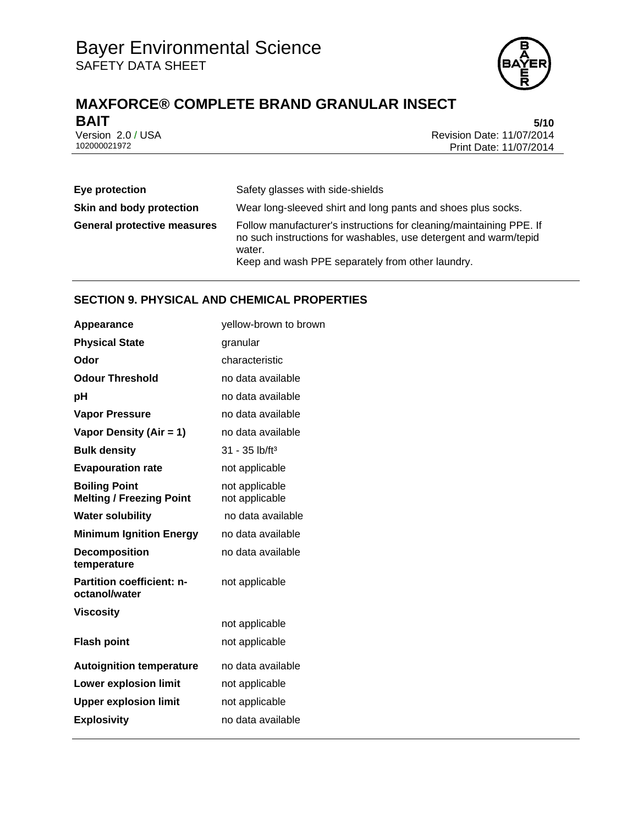

# **MAXFORCE® COMPLETE BRAND GRANULAR INSECT BAIT** 5/10

Version 2.0 / USA **Version 2.0 / USA** Revision Date: 11/07/2014<br>102000021972 Print Date: 11/07/2014 Print Date: 11/07/2014

| Eye protection                     | Safety glasses with side-shields                                                                                                                                                                      |
|------------------------------------|-------------------------------------------------------------------------------------------------------------------------------------------------------------------------------------------------------|
| Skin and body protection           | Wear long-sleeved shirt and long pants and shoes plus socks.                                                                                                                                          |
| <b>General protective measures</b> | Follow manufacturer's instructions for cleaning/maintaining PPE. If<br>no such instructions for washables, use detergent and warm/tepid<br>water.<br>Keep and wash PPE separately from other laundry. |

# **SECTION 9. PHYSICAL AND CHEMICAL PROPERTIES**

| Appearance                                              | yellow-brown to brown            |
|---------------------------------------------------------|----------------------------------|
| <b>Physical State</b>                                   | granular                         |
| Odor                                                    | characteristic                   |
| <b>Odour Threshold</b>                                  | no data available                |
| рH                                                      | no data available                |
| <b>Vapor Pressure</b>                                   | no data available                |
| Vapor Density (Air = 1)                                 | no data available                |
| <b>Bulk density</b>                                     | $31 - 35$ lb/ft <sup>3</sup>     |
| <b>Evapouration rate</b>                                | not applicable                   |
| <b>Boiling Point</b><br><b>Melting / Freezing Point</b> | not applicable<br>not applicable |
| <b>Water solubility</b>                                 | no data available                |
| <b>Minimum Ignition Energy</b>                          | no data available                |
| <b>Decomposition</b><br>temperature                     | no data available                |
| <b>Partition coefficient: n-</b><br>octanol/water       | not applicable                   |
| <b>Viscosity</b>                                        |                                  |
|                                                         | not applicable                   |
| <b>Flash point</b>                                      | not applicable                   |
| <b>Autoignition temperature</b>                         | no data available                |
| <b>Lower explosion limit</b>                            | not applicable                   |
| <b>Upper explosion limit</b>                            | not applicable                   |
| <b>Explosivity</b>                                      | no data available                |
|                                                         |                                  |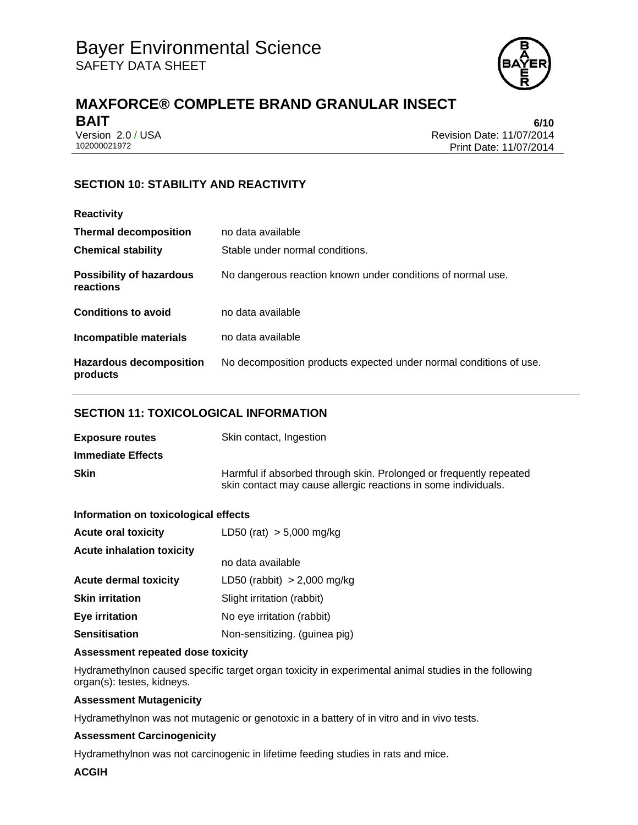

# **MAXFORCE® COMPLETE BRAND GRANULAR INSECT BAIT** 6/10

Version 2.0 / USA Revision Date: 11/07/2014<br>102000021972 Print Date: 11/07/2014 Print Date: 11/07/2014

# **SECTION 10: STABILITY AND REACTIVITY**

| <b>Reactivity</b>                            |                                                                    |
|----------------------------------------------|--------------------------------------------------------------------|
| <b>Thermal decomposition</b>                 | no data available                                                  |
| <b>Chemical stability</b>                    | Stable under normal conditions.                                    |
| <b>Possibility of hazardous</b><br>reactions | No dangerous reaction known under conditions of normal use.        |
| <b>Conditions to avoid</b>                   | no data available                                                  |
| Incompatible materials                       | no data available                                                  |
| <b>Hazardous decomposition</b><br>products   | No decomposition products expected under normal conditions of use. |

## **SECTION 11: TOXICOLOGICAL INFORMATION**

| <b>Exposure routes</b>   | Skin contact, Ingestion                                                                                                              |
|--------------------------|--------------------------------------------------------------------------------------------------------------------------------------|
| <b>Immediate Effects</b> |                                                                                                                                      |
| <b>Skin</b>              | Harmful if absorbed through skin. Prolonged or frequently repeated<br>skin contact may cause allergic reactions in some individuals. |

#### **Information on toxicological effects**

| <b>Acute oral toxicity</b>       | LD50 (rat) $> 5,000$ mg/kg    |
|----------------------------------|-------------------------------|
| <b>Acute inhalation toxicity</b> |                               |
|                                  | no data available             |
| <b>Acute dermal toxicity</b>     | LD50 (rabbit) $> 2,000$ mg/kg |
| <b>Skin irritation</b>           | Slight irritation (rabbit)    |
| <b>Eye irritation</b>            | No eye irritation (rabbit)    |
| <b>Sensitisation</b>             | Non-sensitizing. (guinea pig) |

#### **Assessment repeated dose toxicity**

Hydramethylnon caused specific target organ toxicity in experimental animal studies in the following organ(s): testes, kidneys.

#### **Assessment Mutagenicity**

Hydramethylnon was not mutagenic or genotoxic in a battery of in vitro and in vivo tests.

#### **Assessment Carcinogenicity**

Hydramethylnon was not carcinogenic in lifetime feeding studies in rats and mice.

#### **ACGIH**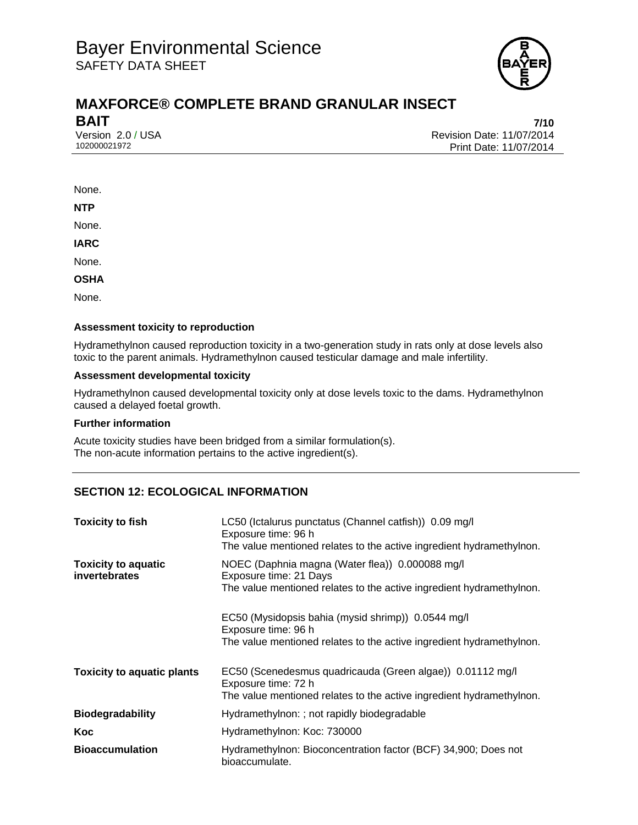

# **MAXFORCE® COMPLETE BRAND GRANULAR INSECT BAIT** 7/10

Version 2.0 / USA Revision Date: 11/07/2014<br>102000021972 Print Date: 11/07/2014 Print Date: 11/07/2014

#### None.

**NTP** 

None.

**IARC** 

None.

**OSHA** 

None.

#### **Assessment toxicity to reproduction**

Hydramethylnon caused reproduction toxicity in a two-generation study in rats only at dose levels also toxic to the parent animals. Hydramethylnon caused testicular damage and male infertility.

#### **Assessment developmental toxicity**

Hydramethylnon caused developmental toxicity only at dose levels toxic to the dams. Hydramethylnon caused a delayed foetal growth.

#### **Further information**

Acute toxicity studies have been bridged from a similar formulation(s). The non-acute information pertains to the active ingredient(s).

#### **SECTION 12: ECOLOGICAL INFORMATION**

| <b>Toxicity to fish</b>                     | LC50 (Ictalurus punctatus (Channel catfish)) 0.09 mg/l<br>Exposure time: 96 h<br>The value mentioned relates to the active ingredient hydramethylnon.    |
|---------------------------------------------|----------------------------------------------------------------------------------------------------------------------------------------------------------|
| <b>Toxicity to aquatic</b><br>invertebrates | NOEC (Daphnia magna (Water flea)) 0.000088 mg/l<br>Exposure time: 21 Days<br>The value mentioned relates to the active ingredient hydramethylnon.        |
|                                             | EC50 (Mysidopsis bahia (mysid shrimp)) 0.0544 mg/l<br>Exposure time: 96 h<br>The value mentioned relates to the active ingredient hydramethylnon.        |
| <b>Toxicity to aquatic plants</b>           | EC50 (Scenedesmus quadricauda (Green algae)) 0.01112 mg/l<br>Exposure time: 72 h<br>The value mentioned relates to the active ingredient hydramethylnon. |
| <b>Biodegradability</b>                     | Hydramethylnon: ; not rapidly biodegradable                                                                                                              |
| Koc                                         | Hydramethylnon: Koc: 730000                                                                                                                              |
| <b>Bioaccumulation</b>                      | Hydramethylnon: Bioconcentration factor (BCF) 34,900; Does not<br>bioaccumulate.                                                                         |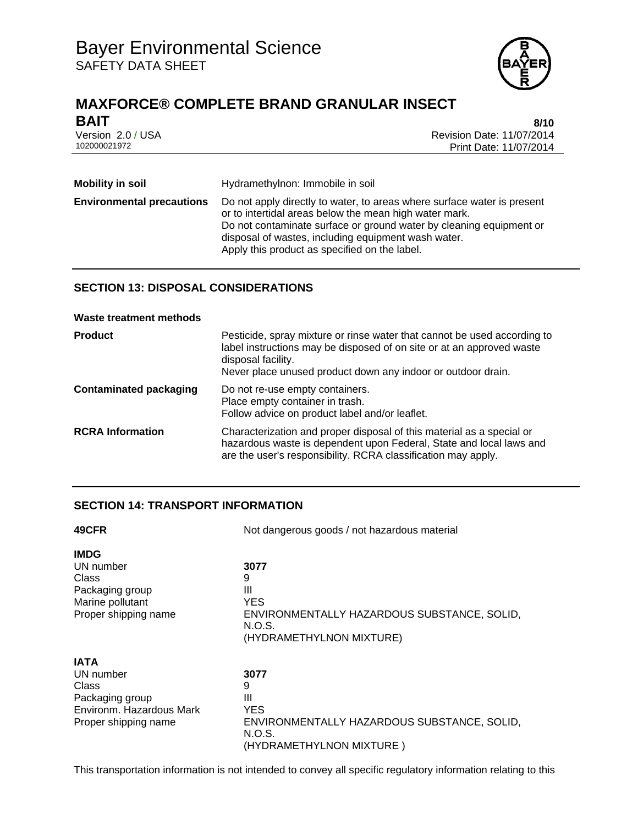

# **MAXFORCE® COMPLETE BRAND GRANULAR INSECT**

| <b>BAIT</b>       | 8/10                      |
|-------------------|---------------------------|
| Version 2.0 / USA | Revision Date: 11/07/2014 |
| 102000021972      | Print Date: 11/07/2014    |

| <b>Mobility in soil</b>          | Hydramethylnon: Immobile in soil                                                                                                                                                                                                                                                                                 |
|----------------------------------|------------------------------------------------------------------------------------------------------------------------------------------------------------------------------------------------------------------------------------------------------------------------------------------------------------------|
| <b>Environmental precautions</b> | Do not apply directly to water, to areas where surface water is present<br>or to intertidal areas below the mean high water mark.<br>Do not contaminate surface or ground water by cleaning equipment or<br>disposal of wastes, including equipment wash water.<br>Apply this product as specified on the label. |

## **SECTION 13: DISPOSAL CONSIDERATIONS**

|  |  |  |  | Waste treatment methods |
|--|--|--|--|-------------------------|
|--|--|--|--|-------------------------|

| <b>Product</b>                | Pesticide, spray mixture or rinse water that cannot be used according to<br>label instructions may be disposed of on site or at an approved waste<br>disposal facility.<br>Never place unused product down any indoor or outdoor drain. |
|-------------------------------|-----------------------------------------------------------------------------------------------------------------------------------------------------------------------------------------------------------------------------------------|
| <b>Contaminated packaging</b> | Do not re-use empty containers.<br>Place empty container in trash.<br>Follow advice on product label and/or leaflet.                                                                                                                    |
| <b>RCRA Information</b>       | Characterization and proper disposal of this material as a special or<br>hazardous waste is dependent upon Federal, State and local laws and<br>are the user's responsibility. RCRA classification may apply.                           |

## **SECTION 14: TRANSPORT INFORMATION**

| 49CFR                                                                                                    | Not dangerous goods / not hazardous material                                                                |  |
|----------------------------------------------------------------------------------------------------------|-------------------------------------------------------------------------------------------------------------|--|
| <b>IMDG</b><br>UN number<br>Class<br>Packaging group<br>Marine pollutant<br>Proper shipping name         | 3077<br>9<br>Ш<br>YES.<br>ENVIRONMENTALLY HAZARDOUS SUBSTANCE, SOLID,<br>N.O.S.<br>(HYDRAMETHYLNON MIXTURE) |  |
| <b>IATA</b><br>UN number<br>Class<br>Packaging group<br>Environm. Hazardous Mark<br>Proper shipping name | 3077<br>9<br>Ш<br>YES<br>ENVIRONMENTALLY HAZARDOUS SUBSTANCE, SOLID,<br>N.O.S.<br>(HYDRAMETHYLNON MIXTURE)  |  |

This transportation information is not intended to convey all specific regulatory information relating to this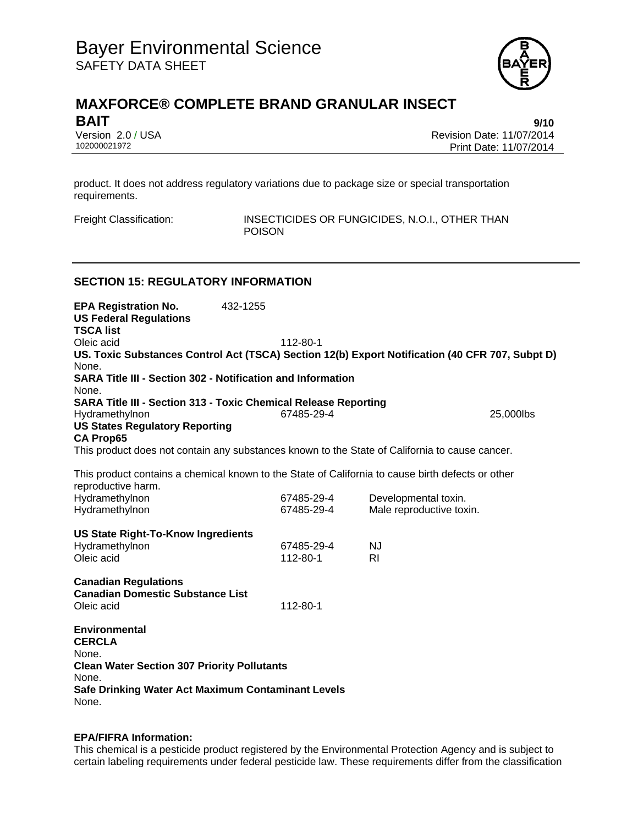

# **MAXFORCE® COMPLETE BRAND GRANULAR INSECT BAIT** 9/10

Version 2.0 / USA Revision Date: 11/07/2014 102000021972 Print Date: 11/07/2014

product. It does not address regulatory variations due to package size or special transportation requirements.

Freight Classification: INSECTICIDES OR FUNGICIDES, N.O.I., OTHER THAN POISON

#### **SECTION 15: REGULATORY INFORMATION**

**EPA Registration No.** 432-1255 **US Federal Regulations TSCA list** Oleic acid 112-80-1 **US. Toxic Substances Control Act (TSCA) Section 12(b) Export Notification (40 CFR 707, Subpt D)** None. **SARA Title III - Section 302 - Notification and Information** None. **SARA Title III - Section 313 - Toxic Chemical Release Reporting** Hydramethylnon 67485-29-4 25,000lbs **US States Regulatory Reporting CA Prop65** This product does not contain any substances known to the State of California to cause cancer. This product contains a chemical known to the State of California to cause birth defects or other reproductive harm. Hydramethylnon 67485-29-4 Developmental toxin. Hydramethylnon 67485-29-4 Male reproductive toxin. **US State Right-To-Know Ingredients** Hydramethylnon 67485-29-4 NJ Oleic acid **112-80-1** RI **Canadian Regulations Canadian Domestic Substance List**  Oleic acid 112-80-1 **Environmental CERCLA**  None. **Clean Water Section 307 Priority Pollutants**  None. **Safe Drinking Water Act Maximum Contaminant Levels**  None.

#### **EPA/FIFRA Information:**

This chemical is a pesticide product registered by the Environmental Protection Agency and is subject to certain labeling requirements under federal pesticide law. These requirements differ from the classification